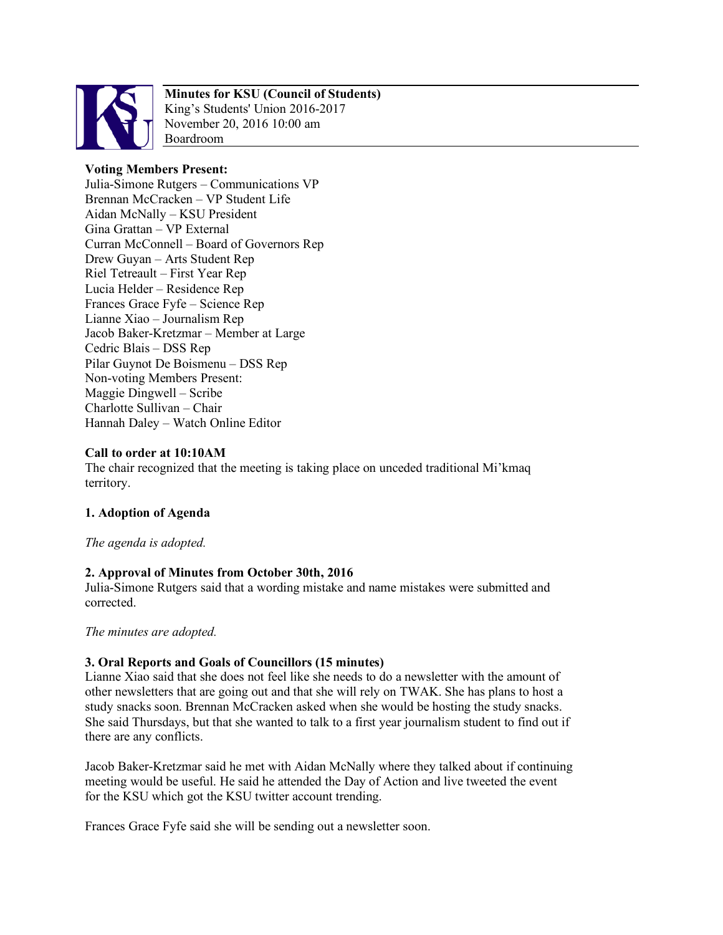

## **Minutes for KSU (Council of Students)**

King's Students' Union 2016-2017 November 20, 2016 10:00 am Boardroom

# **Voting Members Present:**

Julia-Simone Rutgers – Communications VP Brennan McCracken – VP Student Life Aidan McNally – KSU President Gina Grattan – VP External Curran McConnell – Board of Governors Rep Drew Guyan – Arts Student Rep Riel Tetreault – First Year Rep Lucia Helder – Residence Rep Frances Grace Fyfe – Science Rep Lianne Xiao – Journalism Rep Jacob Baker-Kretzmar – Member at Large Cedric Blais – DSS Rep Pilar Guynot De Boismenu – DSS Rep Non-voting Members Present: Maggie Dingwell – Scribe Charlotte Sullivan – Chair Hannah Daley – Watch Online Editor

## **Call to order at 10:10AM**

The chair recognized that the meeting is taking place on unceded traditional Mi'kmaq territory.

## **1. Adoption of Agenda**

*The agenda is adopted.*

## **2. Approval of Minutes from October 30th, 2016**

Julia-Simone Rutgers said that a wording mistake and name mistakes were submitted and corrected.

*The minutes are adopted.*

## **3. Oral Reports and Goals of Councillors (15 minutes)**

Lianne Xiao said that she does not feel like she needs to do a newsletter with the amount of other newsletters that are going out and that she will rely on TWAK. She has plans to host a study snacks soon. Brennan McCracken asked when she would be hosting the study snacks. She said Thursdays, but that she wanted to talk to a first year journalism student to find out if there are any conflicts.

Jacob Baker-Kretzmar said he met with Aidan McNally where they talked about if continuing meeting would be useful. He said he attended the Day of Action and live tweeted the event for the KSU which got the KSU twitter account trending.

Frances Grace Fyfe said she will be sending out a newsletter soon.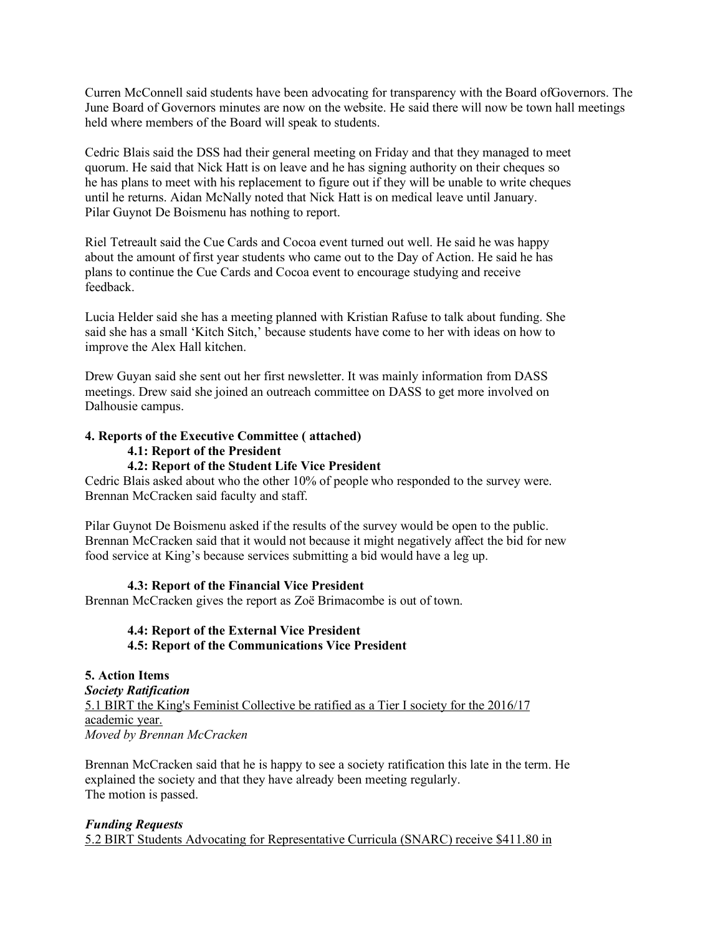Curren McConnell said students have been advocating for transparency with the Board ofGovernors. The June Board of Governors minutes are now on the website. He said there will now be town hall meetings held where members of the Board will speak to students.

Cedric Blais said the DSS had their general meeting on Friday and that they managed to meet quorum. He said that Nick Hatt is on leave and he has signing authority on their cheques so he has plans to meet with his replacement to figure out if they will be unable to write cheques until he returns. Aidan McNally noted that Nick Hatt is on medical leave until January. Pilar Guynot De Boismenu has nothing to report.

Riel Tetreault said the Cue Cards and Cocoa event turned out well. He said he was happy about the amount of first year students who came out to the Day of Action. He said he has plans to continue the Cue Cards and Cocoa event to encourage studying and receive feedback.

Lucia Helder said she has a meeting planned with Kristian Rafuse to talk about funding. She said she has a small 'Kitch Sitch,' because students have come to her with ideas on how to improve the Alex Hall kitchen.

Drew Guyan said she sent out her first newsletter. It was mainly information from DASS meetings. Drew said she joined an outreach committee on DASS to get more involved on Dalhousie campus.

#### **4. Reports of the Executive Committee ( attached)**

**4.1: Report of the President**

### **4.2: Report of the Student Life Vice President**

Cedric Blais asked about who the other 10% of people who responded to the survey were. Brennan McCracken said faculty and staff.

Pilar Guynot De Boismenu asked if the results of the survey would be open to the public. Brennan McCracken said that it would not because it might negatively affect the bid for new food service at King's because services submitting a bid would have a leg up.

#### **4.3: Report of the Financial Vice President**

Brennan McCracken gives the report as Zoë Brimacombe is out of town.

### **4.4: Report of the External Vice President 4.5: Report of the Communications Vice President**

**5. Action Items** *Society Ratification* 5.1 BIRT the King's Feminist Collective be ratified as a Tier I society for the 2016/17 academic year. *Moved by Brennan McCracken*

Brennan McCracken said that he is happy to see a society ratification this late in the term. He explained the society and that they have already been meeting regularly. The motion is passed.

#### *Funding Requests*

5.2 BIRT Students Advocating for Representative Curricula (SNARC) receive \$411.80 in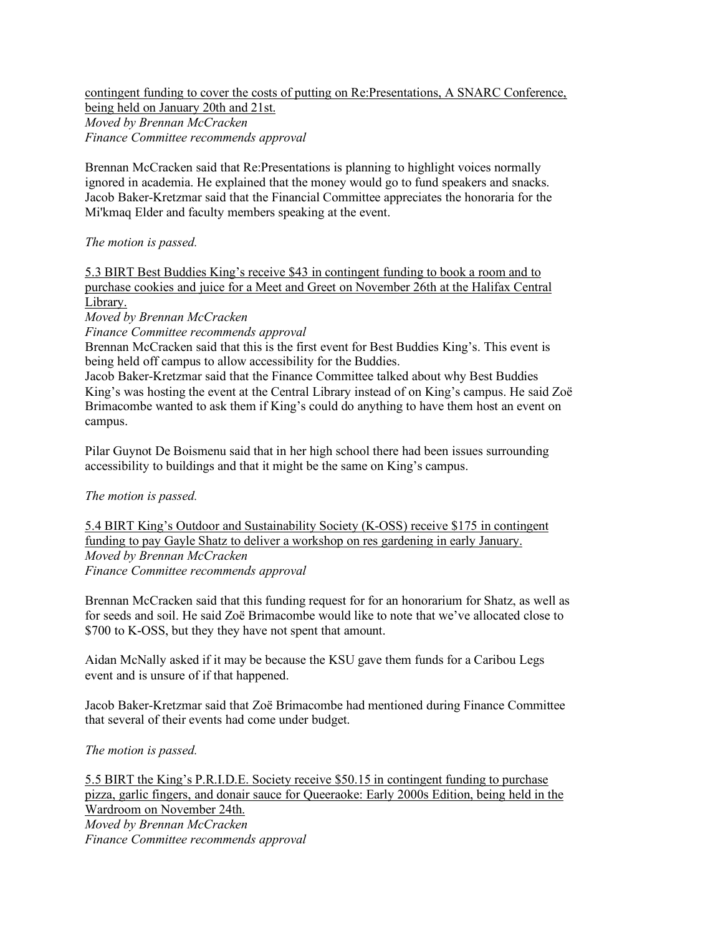### contingent funding to cover the costs of putting on Re:Presentations, A SNARC Conference, being held on January 20th and 21st. *Moved by Brennan McCracken Finance Committee recommends approval*

Brennan McCracken said that Re:Presentations is planning to highlight voices normally ignored in academia. He explained that the money would go to fund speakers and snacks. Jacob Baker-Kretzmar said that the Financial Committee appreciates the honoraria for the Mi'kmaq Elder and faculty members speaking at the event.

*The motion is passed.*

5.3 BIRT Best Buddies King's receive \$43 in contingent funding to book a room and to purchase cookies and juice for a Meet and Greet on November 26th at the Halifax Central Library.

*Moved by Brennan McCracken*

*Finance Committee recommends approval*

Brennan McCracken said that this is the first event for Best Buddies King's. This event is being held off campus to allow accessibility for the Buddies.

Jacob Baker-Kretzmar said that the Finance Committee talked about why Best Buddies King's was hosting the event at the Central Library instead of on King's campus. He said Zoë Brimacombe wanted to ask them if King's could do anything to have them host an event on campus.

Pilar Guynot De Boismenu said that in her high school there had been issues surrounding accessibility to buildings and that it might be the same on King's campus.

*The motion is passed.*

5.4 BIRT King's Outdoor and Sustainability Society (K-OSS) receive \$175 in contingent funding to pay Gayle Shatz to deliver a workshop on res gardening in early January. *Moved by Brennan McCracken Finance Committee recommends approval*

Brennan McCracken said that this funding request for for an honorarium for Shatz, as well as for seeds and soil. He said Zoë Brimacombe would like to note that we've allocated close to \$700 to K-OSS, but they they have not spent that amount.

Aidan McNally asked if it may be because the KSU gave them funds for a Caribou Legs event and is unsure of if that happened.

Jacob Baker-Kretzmar said that Zoë Brimacombe had mentioned during Finance Committee that several of their events had come under budget.

*The motion is passed.*

5.5 BIRT the King's P.R.I.D.E. Society receive \$50.15 in contingent funding to purchase pizza, garlic fingers, and donair sauce for Queeraoke: Early 2000s Edition, being held in the Wardroom on November 24th. *Moved by Brennan McCracken Finance Committee recommends approval*